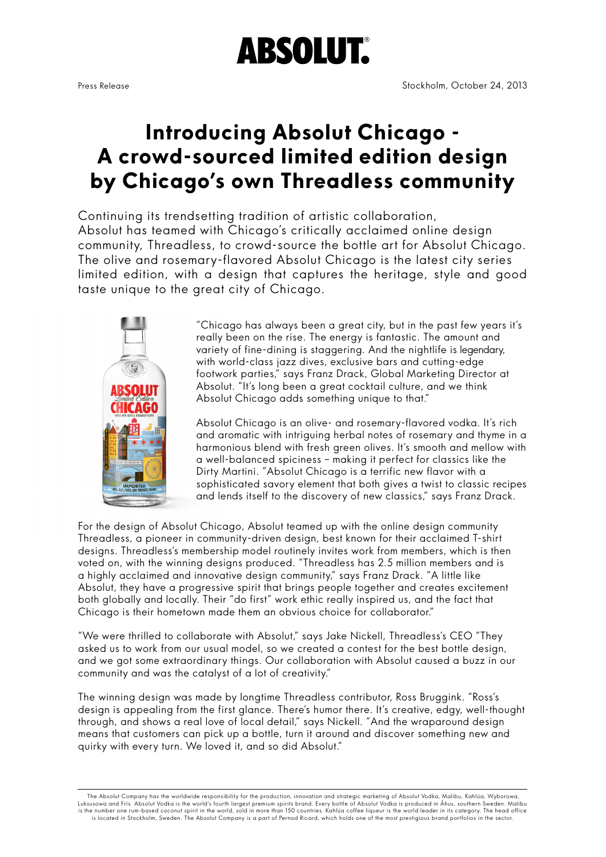# **ABSOLUT.**

## **Introducing Absolut Chicago - A crowd-sourced limited edition design by Chicago's own Threadless community**

Continuing its trendsetting tradition of artistic collaboration, Absolut has teamed with Chicago's critically acclaimed online design community, Threadless, to crowd-source the bottle art for Absolut Chicago. The olive and rosemary-flavored Absolut Chicago is the latest city series limited edition, with a design that captures the heritage, style and good taste unique to the great city of Chicago.



"Chicago has always been a great city, but in the past few years it's really been on the rise. The energy is fantastic. The amount and variety of fine-dining is staggering. And the nightlife is legendary, with world-class jazz dives, exclusive bars and cutting-edge footwork parties," says Franz Drack, Global Marketing Director at Absolut. "It's long been a great cocktail culture, and we think Absolut Chicago adds something unique to that."

Absolut Chicago is an olive- and rosemary-flavored vodka. It's rich and aromatic with intriguing herbal notes of rosemary and thyme in a harmonious blend with fresh green olives. It's smooth and mellow with a well-balanced spiciness – making it perfect for classics like the Dirty Martini. "Absolut Chicago is a terrific new flavor with a sophisticated savory element that both gives a twist to classic recipes and lends itself to the discovery of new classics," says Franz Drack.

For the design of Absolut Chicago, Absolut teamed up with the online design community Threadless, a pioneer in community-driven design, best known for their acclaimed T-shirt designs. Threadless's membership model routinely invites work from members, which is then voted on, with the winning designs produced. "Threadless has 2.5 million members and is a highly acclaimed and innovative design community," says Franz Drack. "A little like Absolut, they have a progressive spirit that brings people together and creates excitement both globally and locally. Their "do first" work ethic really inspired us, and the fact that Chicago is their hometown made them an obvious choice for collaborator."

"We were thrilled to collaborate with Absolut," says Jake Nickell, Threadless's CEO "They asked us to work from our usual model, so we created a contest for the best bottle design, and we got some extraordinary things. Our collaboration with Absolut caused a buzz in our community and was the catalyst of a lot of creativity."

The winning design was made by longtime Threadless contributor, Ross Bruggink. "Ross's design is appealing from the first glance. There's humor there. It's creative, edgy, well-thought through, and shows a real love of local detail," says Nickell. "And the wraparound design means that customers can pick up a bottle, turn it around and discover something new and quirky with every turn. We loved it, and so did Absolut."

 The Absolut Company has the worldwide responsibility for the production, innovation and strategic marketing of Absolut Vodka, Malibu, Kahlúa, Wyborowa, Luksusowa and Frïs. Absolut Vodka is the world's fourth largest premium spirits brand. Every bottle of Absolut Vodka is produced in Ahus, southern Sweden. Malibu<br>is the number one rum-based coconut spirit in the world, sol